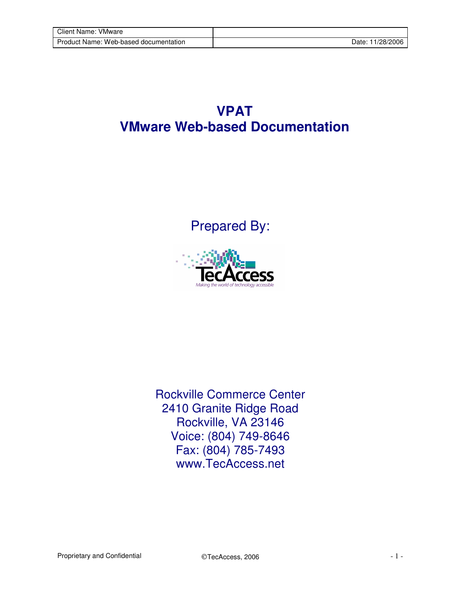## **VPAT VMware Web-based Documentation**

Prepared By:



Rockville Commerce Center 2410 Granite Ridge Road Rockville, VA 23146 Voice: (804) 749-8646 Fax: (804) 785-7493 www.TecAccess.net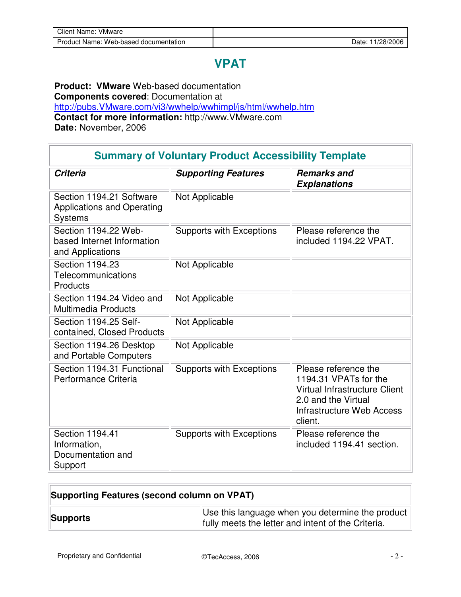## **VPAT**

**Product: VMware** Web-based documentation **Components covered**: Documentation at http://pubs.VMware.com/vi3/wwhelp/wwhimpl/js/html/wwhelp.htm **Contact for more information:** http://www.VMware.com **Date:** November, 2006

| <b>Summary of Voluntary Product Accessibility Template</b>                      |                            |                                                                                                                                                             |  |
|---------------------------------------------------------------------------------|----------------------------|-------------------------------------------------------------------------------------------------------------------------------------------------------------|--|
| <b>Criteria</b>                                                                 | <b>Supporting Features</b> | <b>Remarks and</b><br><b>Explanations</b>                                                                                                                   |  |
| Section 1194.21 Software<br><b>Applications and Operating</b><br><b>Systems</b> | Not Applicable             |                                                                                                                                                             |  |
| Section 1194.22 Web-<br>based Internet Information<br>and Applications          | Supports with Exceptions   | Please reference the<br>included 1194.22 VPAT.                                                                                                              |  |
| Section 1194.23<br>Telecommunications<br>Products                               | Not Applicable             |                                                                                                                                                             |  |
| Section 1194.24 Video and<br><b>Multimedia Products</b>                         | Not Applicable             |                                                                                                                                                             |  |
| Section 1194.25 Self-<br>contained, Closed Products                             | Not Applicable             |                                                                                                                                                             |  |
| Section 1194.26 Desktop<br>and Portable Computers                               | Not Applicable             |                                                                                                                                                             |  |
| Section 1194.31 Functional<br>Performance Criteria                              | Supports with Exceptions   | Please reference the<br>1194.31 VPATs for the<br><b>Virtual Infrastructure Client</b><br>2.0 and the Virtual<br><b>Infrastructure Web Access</b><br>client. |  |
| Section 1194.41<br>Information,<br>Documentation and<br>Support                 | Supports with Exceptions   | Please reference the<br>included 1194.41 section.                                                                                                           |  |

| Supporting Features (second column on VPAT) |                                                                                                        |
|---------------------------------------------|--------------------------------------------------------------------------------------------------------|
| ∣Supports                                   | Use this language when you determine the product<br>fully meets the letter and intent of the Criteria. |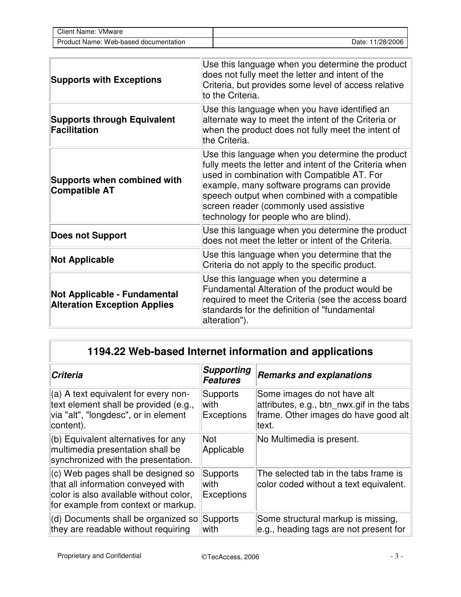| Client Name:<br><b>VMware</b>         |                     |
|---------------------------------------|---------------------|
| Product Name: Web-based documentation | 11/28/2006<br>Date: |

| <b>Supports with Exceptions</b>                                            | Use this language when you determine the product<br>does not fully meet the letter and intent of the<br>Criteria, but provides some level of access relative<br>to the Criteria.                                                                                                                                                             |
|----------------------------------------------------------------------------|----------------------------------------------------------------------------------------------------------------------------------------------------------------------------------------------------------------------------------------------------------------------------------------------------------------------------------------------|
| <b>Supports through Equivalent</b><br><b>Facilitation</b>                  | Use this language when you have identified an<br>alternate way to meet the intent of the Criteria or<br>when the product does not fully meet the intent of<br>the Criteria.                                                                                                                                                                  |
| <b>Supports when combined with</b><br><b>Compatible AT</b>                 | Use this language when you determine the product<br>fully meets the letter and intent of the Criteria when<br>used in combination with Compatible AT. For<br>example, many software programs can provide<br>speech output when combined with a compatible<br>screen reader (commonly used assistive<br>technology for people who are blind). |
| <b>Does not Support</b>                                                    | Use this language when you determine the product<br>does not meet the letter or intent of the Criteria.                                                                                                                                                                                                                                      |
| <b>Not Applicable</b>                                                      | Use this language when you determine that the<br>Criteria do not apply to the specific product.                                                                                                                                                                                                                                              |
| <b>Not Applicable - Fundamental</b><br><b>Alteration Exception Applies</b> | Use this language when you determine a<br>Fundamental Alteration of the product would be<br>required to meet the Criteria (see the access board<br>standards for the definition of "fundamental<br>alteration").                                                                                                                             |

## **1194.22 Web-based Internet information and applications**

| <b>Criteria</b>                                                                                                                                           | <b>Supporting</b><br><b>Features</b>         | <b>Remarks and explanations</b>                                                                                           |
|-----------------------------------------------------------------------------------------------------------------------------------------------------------|----------------------------------------------|---------------------------------------------------------------------------------------------------------------------------|
| $(a)$ A text equivalent for every non-<br>text element shall be provided (e.g.,<br>via "alt", "longdesc", or in element<br>content).                      | <b>Supports</b><br>with<br><b>Exceptions</b> | Some images do not have alt<br>attributes, e.g., btn nwx.gif in the tabs<br>frame. Other images do have good alt<br>text. |
| $(6)$ Equivalent alternatives for any<br>multimedia presentation shall be<br>synchronized with the presentation.                                          | <b>Not</b><br>Applicable                     | No Multimedia is present.                                                                                                 |
| (c) Web pages shall be designed so<br>that all information conveyed with<br>color is also available without color,<br>for example from context or markup. | <b>Supports</b><br>with<br>Exceptions        | The selected tab in the tabs frame is<br>color coded without a text equivalent.                                           |
| $ d\rangle$ Documents shall be organized so<br>they are readable without requiring                                                                        | Supports<br>with                             | Some structural markup is missing,<br>$e.g.,$ heading tags are not present for                                            |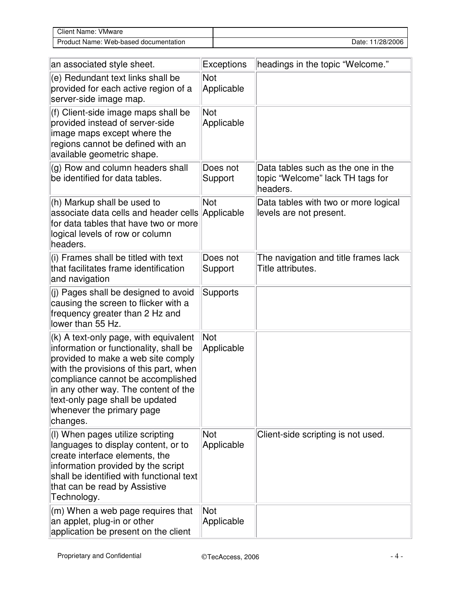| Client Name:<br>VMware                |                     |
|---------------------------------------|---------------------|
| Product Name: Web-based documentation | 11/28/2006<br>Date: |

| an associated style sheet.                                                                                                                                                                                                                                                                                               | <b>Exceptions</b>        | headings in the topic "Welcome."                                                   |
|--------------------------------------------------------------------------------------------------------------------------------------------------------------------------------------------------------------------------------------------------------------------------------------------------------------------------|--------------------------|------------------------------------------------------------------------------------|
| (e) Redundant text links shall be<br>provided for each active region of a<br>server-side image map.                                                                                                                                                                                                                      | Not<br>Applicable        |                                                                                    |
| (f) Client-side image maps shall be<br>provided instead of server-side<br>image maps except where the<br>regions cannot be defined with an<br>available geometric shape.                                                                                                                                                 | Not<br>Applicable        |                                                                                    |
| (g) Row and column headers shall<br>be identified for data tables.                                                                                                                                                                                                                                                       | Does not<br>Support      | Data tables such as the one in the<br>topic "Welcome" lack TH tags for<br>headers. |
| (h) Markup shall be used to<br>associate data cells and header cells<br>for data tables that have two or more<br>logical levels of row or column<br>headers.                                                                                                                                                             | Not<br>Applicable        | Data tables with two or more logical<br>levels are not present.                    |
| (i) Frames shall be titled with text<br>that facilitates frame identification<br>and navigation                                                                                                                                                                                                                          | Does not<br>Support      | The navigation and title frames lack<br>Title attributes.                          |
| (j) Pages shall be designed to avoid<br>causing the screen to flicker with a<br>frequency greater than 2 Hz and<br>lower than 55 Hz.                                                                                                                                                                                     | Supports                 |                                                                                    |
| (k) A text-only page, with equivalent<br>information or functionality, shall be<br>provided to make a web site comply<br>with the provisions of this part, when<br>compliance cannot be accomplished<br>in any other way. The content of the<br>text-only page shall be updated<br>whenever the primary page<br>changes. | Not<br>Applicable        |                                                                                    |
| (I) When pages utilize scripting<br>languages to display content, or to<br>create interface elements, the<br>information provided by the script<br>shall be identified with functional text<br>that can be read by Assistive<br>Technology.                                                                              | <b>Not</b><br>Applicable | Client-side scripting is not used.                                                 |
| (m) When a web page requires that<br>an applet, plug-in or other<br>application be present on the client                                                                                                                                                                                                                 | Not<br>Applicable        |                                                                                    |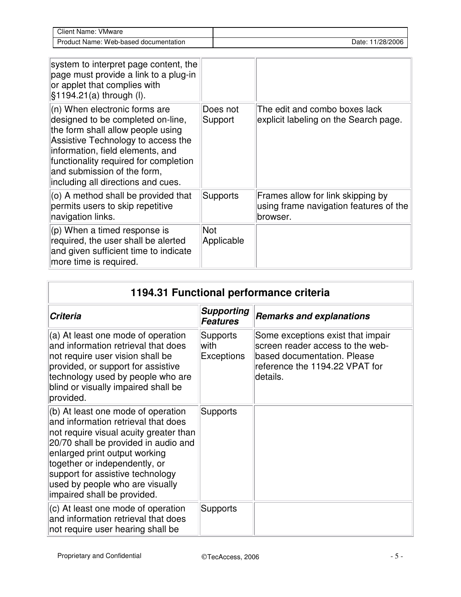| Client Name:<br><b>VMware</b>         |                     |
|---------------------------------------|---------------------|
| Product Name: Web-based documentation | 11/28/2006<br>Date: |

| system to interpret page content, the<br>page must provide a link to a plug-in<br>or applet that complies with<br>$§1194.21(a)$ through (I).                                                                                                                                                    |                     |                                                                                         |
|-------------------------------------------------------------------------------------------------------------------------------------------------------------------------------------------------------------------------------------------------------------------------------------------------|---------------------|-----------------------------------------------------------------------------------------|
| (n) When electronic forms are<br>designed to be completed on-line,<br>the form shall allow people using<br>Assistive Technology to access the<br>information, field elements, and<br>functionality required for completion<br>and submission of the form,<br>including all directions and cues. | Does not<br>Support | The edit and combo boxes lack<br>explicit labeling on the Search page.                  |
| (o) A method shall be provided that<br>permits users to skip repetitive<br>navigation links.                                                                                                                                                                                                    | Supports            | Frames allow for link skipping by<br>using frame navigation features of the<br>browser. |
| $(p)$ When a timed response is<br>required, the user shall be alerted<br>and given sufficient time to indicate<br>more time is required.                                                                                                                                                        | Not<br>Applicable   |                                                                                         |

| 1194.31 Functional performance criteria                                                                                                                                                                                                                                                                                             |                                              |                                                                                                                                                    |
|-------------------------------------------------------------------------------------------------------------------------------------------------------------------------------------------------------------------------------------------------------------------------------------------------------------------------------------|----------------------------------------------|----------------------------------------------------------------------------------------------------------------------------------------------------|
| <b>Criteria</b>                                                                                                                                                                                                                                                                                                                     | <b>Supporting</b><br><b>Features</b>         | <b>Remarks and explanations</b>                                                                                                                    |
| (a) At least one mode of operation<br>and information retrieval that does<br>not require user vision shall be<br>provided, or support for assistive<br>technology used by people who are<br>blind or visually impaired shall be<br>provided.                                                                                        | <b>Supports</b><br>with<br><b>Exceptions</b> | Some exceptions exist that impair<br>screen reader access to the web-<br>based documentation. Please<br>reference the 1194.22 VPAT for<br>details. |
| (b) At least one mode of operation<br>and information retrieval that does<br>not require visual acuity greater than<br>20/70 shall be provided in audio and<br>enlarged print output working<br>together or independently, or<br>support for assistive technology<br>used by people who are visually<br>impaired shall be provided. | <b>Supports</b>                              |                                                                                                                                                    |
| (c) At least one mode of operation<br>and information retrieval that does<br>not require user hearing shall be                                                                                                                                                                                                                      | <b>Supports</b>                              |                                                                                                                                                    |

 $\overline{a}$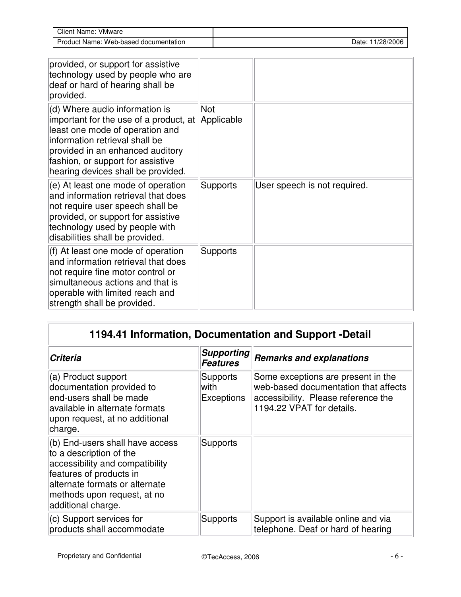| Client Name:<br>VMware    |           |
|---------------------------|-----------|
| : Web-based documentation | 1/28/2006 |
| Product Name:             | Date:     |

| provided, or support for assistive<br>technology used by people who are<br>deaf or hard of hearing shall be<br>provided.                                                                                                                                                |                 |                              |
|-------------------------------------------------------------------------------------------------------------------------------------------------------------------------------------------------------------------------------------------------------------------------|-----------------|------------------------------|
| (d) Where audio information is<br>important for the use of a product, at Applicable<br>least one mode of operation and<br>information retrieval shall be<br>provided in an enhanced auditory<br>fashion, or support for assistive<br>hearing devices shall be provided. | Not             |                              |
| (e) At least one mode of operation<br>and information retrieval that does<br>not require user speech shall be<br>provided, or support for assistive<br>technology used by people with<br>disabilities shall be provided.                                                | <b>Supports</b> | User speech is not required. |
| (f) At least one mode of operation<br>and information retrieval that does<br>not require fine motor control or<br>simultaneous actions and that is<br>operable with limited reach and<br>strength shall be provided.                                                    | <b>Supports</b> |                              |

## **1194.41 Information, Documentation and Support -Detail**

| <b>Criteria</b>                                                                                                                                                                                                 | <b>Supporting</b><br><b>Features</b>         | <b>Remarks and explanations</b>                                                                                                                |
|-----------------------------------------------------------------------------------------------------------------------------------------------------------------------------------------------------------------|----------------------------------------------|------------------------------------------------------------------------------------------------------------------------------------------------|
| (a) Product support<br>documentation provided to<br>end-users shall be made<br>available in alternate formats<br>upon request, at no additional<br>charge.                                                      | <b>Supports</b><br>with<br><b>Exceptions</b> | Some exceptions are present in the<br>web-based documentation that affects<br>accessibility. Please reference the<br>1194.22 VPAT for details. |
| (b) End-users shall have access<br>to a description of the<br>accessibility and compatibility<br>features of products in<br>alternate formats or alternate<br>methods upon request, at no<br>additional charge. | Supports                                     |                                                                                                                                                |
| (c) Support services for<br>products shall accommodate                                                                                                                                                          | <b>Supports</b>                              | Support is available online and via<br>telephone. Deaf or hard of hearing                                                                      |